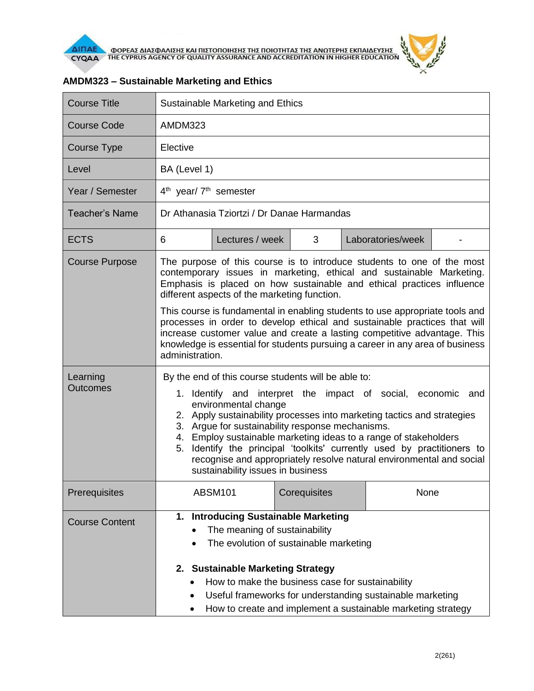

| <b>Course Title</b>         | Sustainable Marketing and Ethics                                                                                                                                                                                                                                                                                                                                                                                                                                                                                                          |  |  |  |  |  |
|-----------------------------|-------------------------------------------------------------------------------------------------------------------------------------------------------------------------------------------------------------------------------------------------------------------------------------------------------------------------------------------------------------------------------------------------------------------------------------------------------------------------------------------------------------------------------------------|--|--|--|--|--|
| <b>Course Code</b>          | AMDM323                                                                                                                                                                                                                                                                                                                                                                                                                                                                                                                                   |  |  |  |  |  |
| <b>Course Type</b>          | Elective                                                                                                                                                                                                                                                                                                                                                                                                                                                                                                                                  |  |  |  |  |  |
| Level                       | BA (Level 1)                                                                                                                                                                                                                                                                                                                                                                                                                                                                                                                              |  |  |  |  |  |
| Year / Semester             | $4th$ year/ $7th$ semester                                                                                                                                                                                                                                                                                                                                                                                                                                                                                                                |  |  |  |  |  |
| <b>Teacher's Name</b>       | Dr Athanasia Tziortzi / Dr Danae Harmandas                                                                                                                                                                                                                                                                                                                                                                                                                                                                                                |  |  |  |  |  |
| <b>ECTS</b>                 | Lectures / week<br>3<br>Laboratories/week<br>6                                                                                                                                                                                                                                                                                                                                                                                                                                                                                            |  |  |  |  |  |
| <b>Course Purpose</b>       | The purpose of this course is to introduce students to one of the most<br>contemporary issues in marketing, ethical and sustainable Marketing.<br>Emphasis is placed on how sustainable and ethical practices influence<br>different aspects of the marketing function.                                                                                                                                                                                                                                                                   |  |  |  |  |  |
|                             | This course is fundamental in enabling students to use appropriate tools and<br>processes in order to develop ethical and sustainable practices that will<br>increase customer value and create a lasting competitive advantage. This<br>knowledge is essential for students pursuing a career in any area of business<br>administration.                                                                                                                                                                                                 |  |  |  |  |  |
| Learning<br><b>Outcomes</b> | By the end of this course students will be able to:<br>1. Identify and interpret the impact of social, economic<br>and<br>environmental change<br>2. Apply sustainability processes into marketing tactics and strategies<br>3. Argue for sustainability response mechanisms.<br>4. Employ sustainable marketing ideas to a range of stakeholders<br>5. Identify the principal 'toolkits' currently used by practitioners to<br>recognise and appropriately resolve natural environmental and social<br>sustainability issues in business |  |  |  |  |  |
| Prerequisites               | <b>ABSM101</b><br>Corequisites<br>None                                                                                                                                                                                                                                                                                                                                                                                                                                                                                                    |  |  |  |  |  |
| <b>Course Content</b>       | <b>Introducing Sustainable Marketing</b><br>1.<br>The meaning of sustainability<br>The evolution of sustainable marketing<br><b>Sustainable Marketing Strategy</b><br>2.<br>How to make the business case for sustainability<br>Useful frameworks for understanding sustainable marketing<br>How to create and implement a sustainable marketing strategy                                                                                                                                                                                 |  |  |  |  |  |

## **AMDM323 – Sustainable Marketing and Ethics**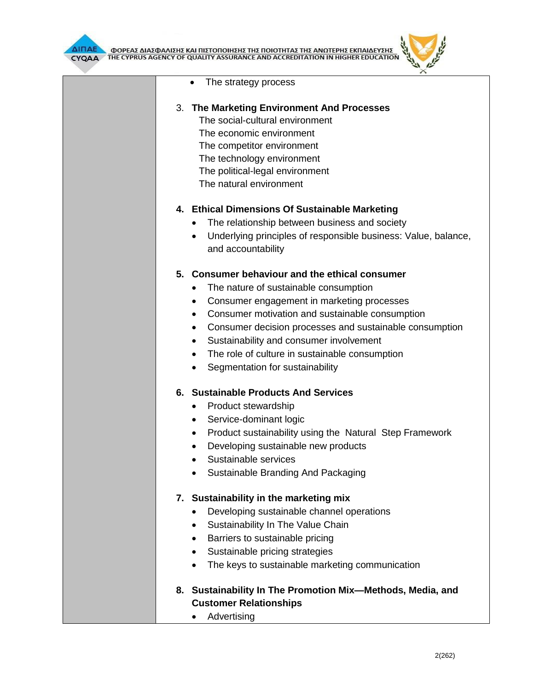



| • The strategy process                                                                      |
|---------------------------------------------------------------------------------------------|
| 3. The Marketing Environment And Processes                                                  |
| The social-cultural environment                                                             |
| The economic environment                                                                    |
| The competitor environment                                                                  |
| The technology environment                                                                  |
| The political-legal environment                                                             |
| The natural environment                                                                     |
| 4. Ethical Dimensions Of Sustainable Marketing                                              |
| The relationship between business and society                                               |
| Underlying principles of responsible business: Value, balance,                              |
| and accountability                                                                          |
| 5. Consumer behaviour and the ethical consumer                                              |
| The nature of sustainable consumption<br>٠                                                  |
| Consumer engagement in marketing processes<br>$\bullet$                                     |
| Consumer motivation and sustainable consumption<br>$\bullet$                                |
| Consumer decision processes and sustainable consumption<br>$\bullet$                        |
| Sustainability and consumer involvement<br>٠                                                |
| The role of culture in sustainable consumption<br>$\bullet$                                 |
| Segmentation for sustainability<br>$\bullet$                                                |
| 6. Sustainable Products And Services                                                        |
| Product stewardship<br>$\bullet$                                                            |
| Service-dominant logic<br>٠                                                                 |
| Product sustainability using the Natural Step Framework<br>$\bullet$                        |
| Developing sustainable new products                                                         |
| Sustainable services                                                                        |
| Sustainable Branding And Packaging                                                          |
| 7. Sustainability in the marketing mix                                                      |
| Developing sustainable channel operations                                                   |
| Sustainability In The Value Chain<br>$\bullet$                                              |
| Barriers to sustainable pricing<br>$\bullet$                                                |
| Sustainable pricing strategies                                                              |
| The keys to sustainable marketing communication<br>$\bullet$                                |
| 8. Sustainability In The Promotion Mix-Methods, Media, and<br><b>Customer Relationships</b> |
|                                                                                             |

• Advertising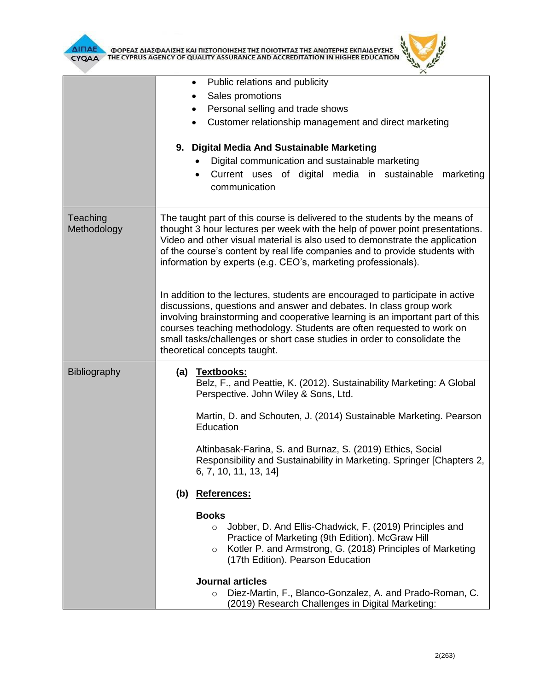

**AIFIAE A OOPEAE AIAE DANIERE KAI HIETOHOIRERE TRE HOIOTRTAE TRE ANOTEPRE EKHAIAEYERE** 



|                         | Public relations and publicity<br>Sales promotions<br>Personal selling and trade shows<br>Customer relationship management and direct marketing<br>9. Digital Media And Sustainable Marketing<br>Digital communication and sustainable marketing<br>Current uses of digital media in sustainable<br>marketing<br>$\bullet$<br>communication                                                                                                                                                                                                                                                                                                                                                                                                                                                                             |  |  |  |
|-------------------------|-------------------------------------------------------------------------------------------------------------------------------------------------------------------------------------------------------------------------------------------------------------------------------------------------------------------------------------------------------------------------------------------------------------------------------------------------------------------------------------------------------------------------------------------------------------------------------------------------------------------------------------------------------------------------------------------------------------------------------------------------------------------------------------------------------------------------|--|--|--|
| Teaching<br>Methodology | The taught part of this course is delivered to the students by the means of<br>thought 3 hour lectures per week with the help of power point presentations.<br>Video and other visual material is also used to demonstrate the application<br>of the course's content by real life companies and to provide students with<br>information by experts (e.g. CEO's, marketing professionals).<br>In addition to the lectures, students are encouraged to participate in active<br>discussions, questions and answer and debates. In class group work<br>involving brainstorming and cooperative learning is an important part of this<br>courses teaching methodology. Students are often requested to work on<br>small tasks/challenges or short case studies in order to consolidate the<br>theoretical concepts taught. |  |  |  |
| <b>Bibliography</b>     | (a) Textbooks:<br>Belz, F., and Peattie, K. (2012). Sustainability Marketing: A Global<br>Perspective. John Wiley & Sons, Ltd.<br>Martin, D. and Schouten, J. (2014) Sustainable Marketing. Pearson<br>Education<br>Altinbasak-Farina, S. and Burnaz, S. (2019) Ethics, Social<br>Responsibility and Sustainability in Marketing. Springer [Chapters 2,<br>6, 7, 10, 11, 13, 14]<br>References:<br>(b)<br><b>Books</b><br>Jobber, D. And Ellis-Chadwick, F. (2019) Principles and<br>$\circ$<br>Practice of Marketing (9th Edition). McGraw Hill<br>Kotler P. and Armstrong, G. (2018) Principles of Marketing<br>$\circ$<br>(17th Edition). Pearson Education<br><b>Journal articles</b><br>Diez-Martin, F., Blanco-Gonzalez, A. and Prado-Roman, C.<br>$\circ$<br>(2019) Research Challenges in Digital Marketing:    |  |  |  |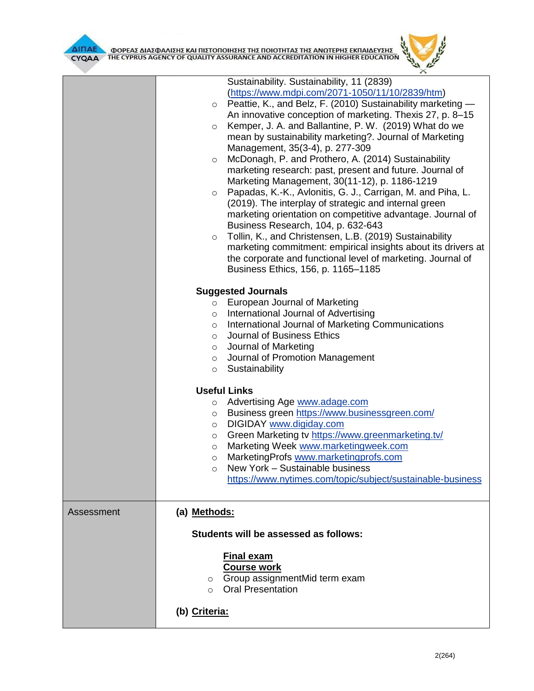

|            | CYQAA THE CYPRUS AGENCY OF QUALITY ASSURANCE AND ACCREDITATION IN HIGHER EDUCATION $\sqrt[15]{\sqrt[15]{\sqrt[15]{\sqrt[15]{\sqrt[15]{\sqrt[15]{\sqrt[15]{\sqrt[15]{\sqrt[15]{\sqrt[15]{\sqrt[15]{\sqrt[15]{\sqrt[15]{\sqrt[15]{\sqrt[15]{\sqrt[15]{\sqrt[15]{\sqrt[15]{\sqrt[15]{\sqrt[15]{\sqrt[15]{\sqrt[15]{\sqrt[15$                                                                                                                                                                                                                                                                                                                                                                                                                                                                                                                                                                                                                                                                                                                                               |
|------------|-------------------------------------------------------------------------------------------------------------------------------------------------------------------------------------------------------------------------------------------------------------------------------------------------------------------------------------------------------------------------------------------------------------------------------------------------------------------------------------------------------------------------------------------------------------------------------------------------------------------------------------------------------------------------------------------------------------------------------------------------------------------------------------------------------------------------------------------------------------------------------------------------------------------------------------------------------------------------------------------------------------------------------------------------------------------------|
|            | Sustainability. Sustainability, 11 (2839)<br>(https://www.mdpi.com/2071-1050/11/10/2839/htm)<br>Peattie, K., and Belz, F. (2010) Sustainability marketing -<br>$\circ$<br>An innovative conception of marketing. Thexis 27, p. 8-15<br>Kemper, J. A. and Ballantine, P. W. (2019) What do we<br>$\circ$<br>mean by sustainability marketing?. Journal of Marketing<br>Management, 35(3-4), p. 277-309<br>McDonagh, P. and Prothero, A. (2014) Sustainability<br>$\circ$<br>marketing research: past, present and future. Journal of<br>Marketing Management, 30(11-12), p. 1186-1219<br>Papadas, K.-K., Avlonitis, G. J., Carrigan, M. and Piha, L.<br>$\circ$<br>(2019). The interplay of strategic and internal green<br>marketing orientation on competitive advantage. Journal of<br>Business Research, 104, p. 632-643<br>Tollin, K., and Christensen, L.B. (2019) Sustainability<br>$\circ$<br>marketing commitment: empirical insights about its drivers at<br>the corporate and functional level of marketing. Journal of<br>Business Ethics, 156, p. 1165-1185 |
|            | <b>Suggested Journals</b><br>European Journal of Marketing<br>$\circ$<br>International Journal of Advertising<br>$\circ$<br>International Journal of Marketing Communications<br>$\circ$<br>Journal of Business Ethics<br>$\circ$<br>○ Journal of Marketing<br>o Journal of Promotion Management<br>Sustainability<br>$\circ$                                                                                                                                                                                                                                                                                                                                                                                                                                                                                                                                                                                                                                                                                                                                           |
|            | <b>Useful Links</b><br>Advertising Age www.adage.com<br>$\circ$<br>Business green https://www.businessgreen.com/<br>$\circ$<br>DIGIDAY www.digiday.com<br>$\circ$<br>Green Marketing tv https://www.greenmarketing.tv/<br>$\circ$<br>Marketing Week www.marketingweek.com<br>$\Omega$<br>MarketingProfs www.marketingprofs.com<br>O<br>New York - Sustainable business<br>$\circ$<br>https://www.nytimes.com/topic/subject/sustainable-business                                                                                                                                                                                                                                                                                                                                                                                                                                                                                                                                                                                                                         |
| Assessment | (a) Methods:<br>Students will be assessed as follows:<br><b>Final exam</b>                                                                                                                                                                                                                                                                                                                                                                                                                                                                                                                                                                                                                                                                                                                                                                                                                                                                                                                                                                                              |
|            | <b>Course work</b><br>Group assignmentMid term exam<br>$\circ$<br><b>Oral Presentation</b><br>$\circ$<br>(b) Criteria:                                                                                                                                                                                                                                                                                                                                                                                                                                                                                                                                                                                                                                                                                                                                                                                                                                                                                                                                                  |